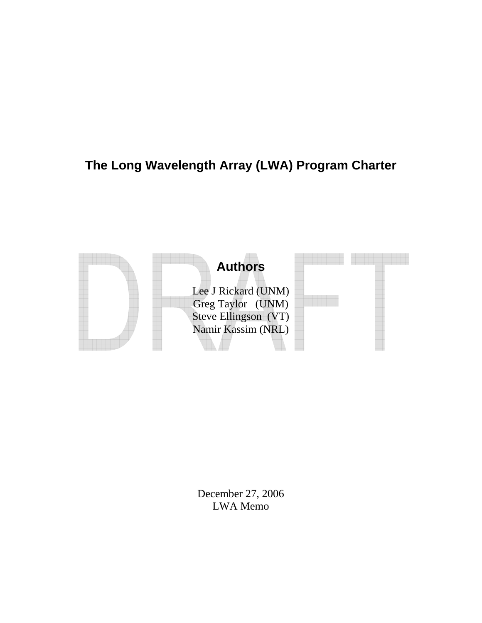# **The Long Wavelength Array (LWA) Program Charter**



December 27, 2006 LWA Memo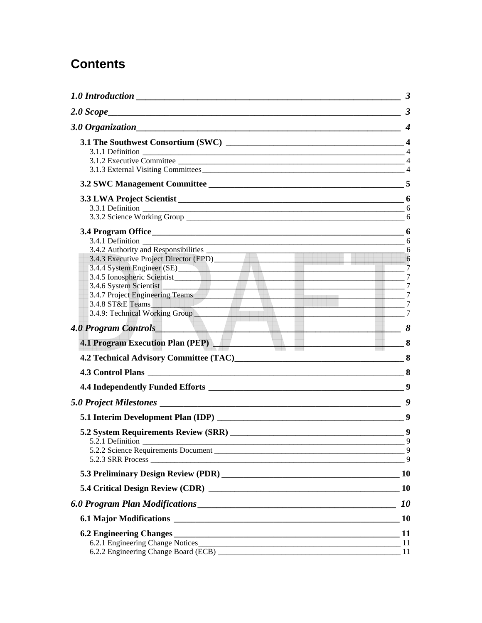# **Contents**

| $\overline{\phantom{0}}$ 6<br>3.4.4 System Engineer (SE)<br>$\frac{1}{2}$ 7<br>3.4.5 Ionospheric Scientist Contract Contract Contract Contract Contract Contract Contract Contract Contract Contract Contract Contract Contract Contract Contract Contract Contract Contract Contract Contract Contract Contr<br>$\frac{1}{2}$ 7<br>3.4.6 System Scientist<br>3.4.7 Project Engineering Teams<br>$\frac{1}{2}$ 7<br>$\overline{\phantom{a}}$ 7<br>$\overline{7}$<br>3.4.9: Technical Working Group<br>$\overline{7}$ |
|----------------------------------------------------------------------------------------------------------------------------------------------------------------------------------------------------------------------------------------------------------------------------------------------------------------------------------------------------------------------------------------------------------------------------------------------------------------------------------------------------------------------|
| 4.0 Program Controls<br>$\Box$ 8<br>4.1 Program Execution Plan (PEP) 8                                                                                                                                                                                                                                                                                                                                                                                                                                               |
|                                                                                                                                                                                                                                                                                                                                                                                                                                                                                                                      |
|                                                                                                                                                                                                                                                                                                                                                                                                                                                                                                                      |
|                                                                                                                                                                                                                                                                                                                                                                                                                                                                                                                      |
|                                                                                                                                                                                                                                                                                                                                                                                                                                                                                                                      |
|                                                                                                                                                                                                                                                                                                                                                                                                                                                                                                                      |
|                                                                                                                                                                                                                                                                                                                                                                                                                                                                                                                      |
|                                                                                                                                                                                                                                                                                                                                                                                                                                                                                                                      |
|                                                                                                                                                                                                                                                                                                                                                                                                                                                                                                                      |
| <i>10</i>                                                                                                                                                                                                                                                                                                                                                                                                                                                                                                            |
| <b>10</b>                                                                                                                                                                                                                                                                                                                                                                                                                                                                                                            |
|                                                                                                                                                                                                                                                                                                                                                                                                                                                                                                                      |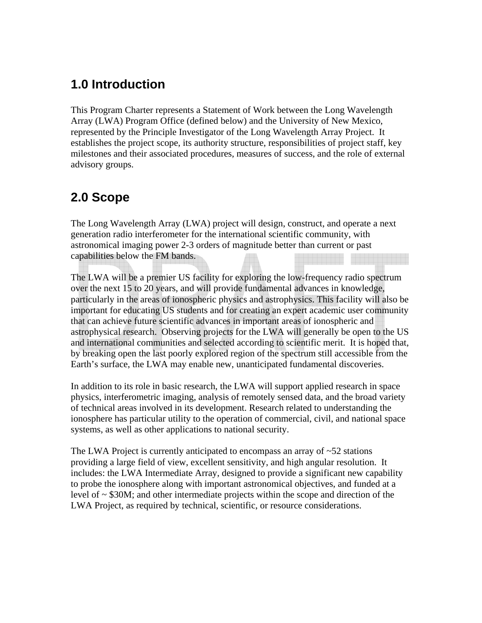## <span id="page-2-0"></span>**1.0 Introduction**

This Program Charter represents a Statement of Work between the Long Wavelength Array (LWA) Program Office (defined below) and the University of New Mexico, represented by the Principle Investigator of the Long Wavelength Array Project. It establishes the project scope, its authority structure, responsibilities of project staff, key milestones and their associated procedures, measures of success, and the role of external advisory groups.

# **2.0 Scope**

The Long Wavelength Array (LWA) project will design, construct, and operate a next generation radio interferometer for the international scientific community, with astronomical imaging power 2-3 orders of magnitude better than current or past capabilities below the FM bands.

The LWA will be a premier US facility for exploring the low-frequency radio spectrum over the next 15 to 20 years, and will provide fundamental advances in knowledge, particularly in the areas of ionospheric physics and astrophysics. This facility will also be important for educating US students and for creating an expert academic user community that can achieve future scientific advances in important areas of ionospheric and astrophysical research. Observing projects for the LWA will generally be open to the US and international communities and selected according to scientific merit. It is hoped that, by breaking open the last poorly explored region of the spectrum still accessible from the Earth's surface, the LWA may enable new, unanticipated fundamental discoveries.

In addition to its role in basic research, the LWA will support applied research in space physics, interferometric imaging, analysis of remotely sensed data, and the broad variety of technical areas involved in its development. Research related to understanding the ionosphere has particular utility to the operation of commercial, civil, and national space systems, as well as other applications to national security.

The LWA Project is currently anticipated to encompass an array of  $\sim$ 52 stations providing a large field of view, excellent sensitivity, and high angular resolution. It includes: the LWA Intermediate Array, designed to provide a significant new capability to probe the ionosphere along with important astronomical objectives, and funded at a level of  $\sim$  \$30M; and other intermediate projects within the scope and direction of the LWA Project, as required by technical, scientific, or resource considerations.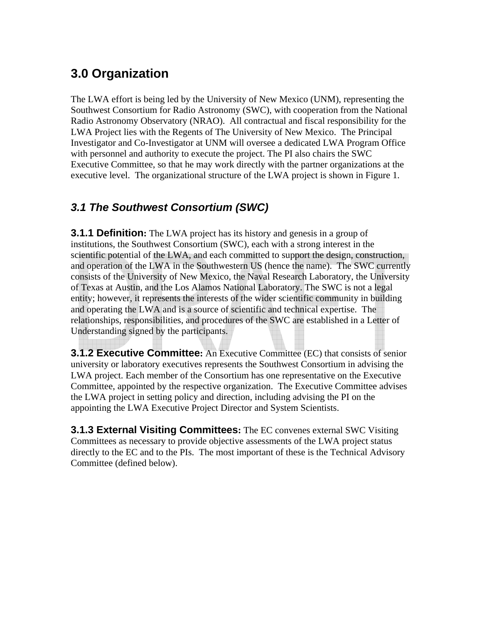# <span id="page-3-0"></span>**3.0 Organization**

The LWA effort is being led by the University of New Mexico (UNM), representing the Southwest Consortium for Radio Astronomy (SWC), with cooperation from the National Radio Astronomy Observatory (NRAO). All contractual and fiscal responsibility for the LWA Project lies with the Regents of The University of New Mexico. The Principal Investigator and Co-Investigator at UNM will oversee a dedicated LWA Program Office with personnel and authority to execute the project. The PI also chairs the SWC Executive Committee, so that he may work directly with the partner organizations at the executive level. The organizational structure of the LWA project is shown in Figure 1.

### *3.1 The Southwest Consortium (SWC)*

**3.1.1 Definition:** The LWA project has its history and genesis in a group of institutions, the Southwest Consortium (SWC), each with a strong interest in the scientific potential of the LWA, and each committed to support the design, construction, and operation of the LWA in the Southwestern US (hence the name). The SWC currently consists of the University of New Mexico, the Naval Research Laboratory, the University of Texas at Austin, and the Los Alamos National Laboratory. The SWC is not a legal entity; however, it represents the interests of the wider scientific community in building and operating the LWA and is a source of scientific and technical expertise. The relationships, responsibilities, and procedures of the SWC are established in a Letter of Understanding signed by the participants.

**3.1.2 Executive Committee:** An Executive Committee (EC) that consists of senior university or laboratory executives represents the Southwest Consortium in advising the LWA project. Each member of the Consortium has one representative on the Executive Committee, appointed by the respective organization. The Executive Committee advises the LWA project in setting policy and direction, including advising the PI on the appointing the LWA Executive Project Director and System Scientists.

**3.1.3 External Visiting Committees:** The EC convenes external SWC Visiting Committees as necessary to provide objective assessments of the LWA project status directly to the EC and to the PIs. The most important of these is the Technical Advisory Committee (defined below).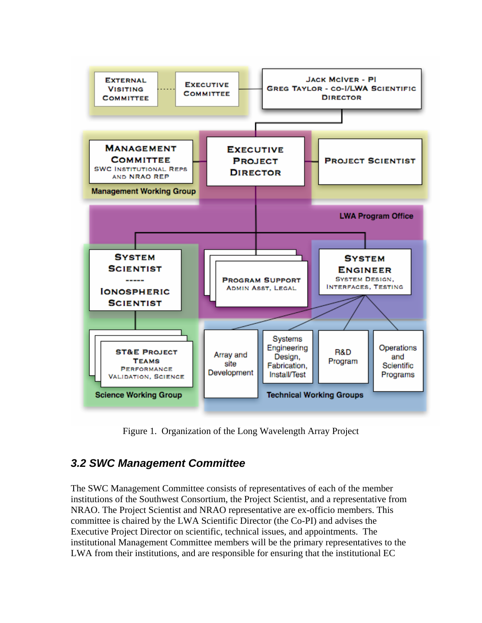<span id="page-4-0"></span>

Figure 1. Organization of the Long Wavelength Array Project

#### *3.2 SWC Management Committee*

The SWC Management Committee consists of representatives of each of the member institutions of the Southwest Consortium, the Project Scientist, and a representative from NRAO. The Project Scientist and NRAO representative are ex-officio members. This committee is chaired by the LWA Scientific Director (the Co-PI) and advises the Executive Project Director on scientific, technical issues, and appointments. The institutional Management Committee members will be the primary representatives to the LWA from their institutions, and are responsible for ensuring that the institutional EC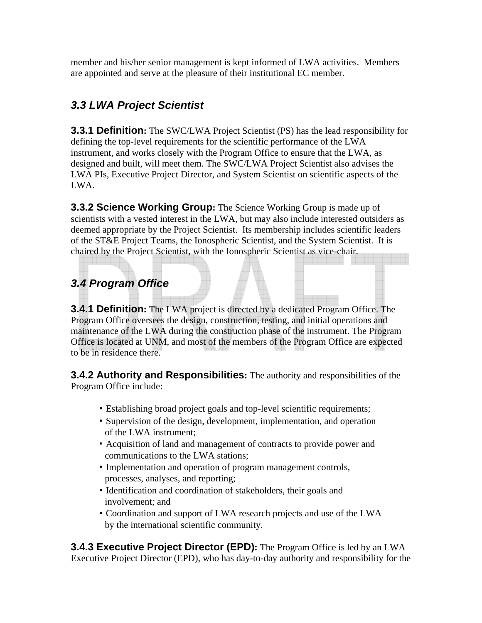<span id="page-5-0"></span>member and his/her senior management is kept informed of LWA activities. Members are appointed and serve at the pleasure of their institutional EC member.

### *3.3 LWA Project Scientist*

**3.3.1 Definition:** The SWC/LWA Project Scientist (PS) has the lead responsibility for defining the top-level requirements for the scientific performance of the LWA instrument, and works closely with the Program Office to ensure that the LWA, as designed and built, will meet them. The SWC/LWA Project Scientist also advises the LWA PIs, Executive Project Director, and System Scientist on scientific aspects of the LWA.

**3.3.2 Science Working Group:** The Science Working Group is made up of scientists with a vested interest in the LWA, but may also include interested outsiders as deemed appropriate by the Project Scientist. Its membership includes scientific leaders of the ST&E Project Teams, the Ionospheric Scientist, and the System Scientist. It is chaired by the Project Scientist, with the Ionospheric Scientist as vice-chair.

## *3.4 Program Office*

**3.4.1 Definition:** The LWA project is directed by a dedicated Program Office. The Program Office oversees the design, construction, testing, and initial operations and maintenance of the LWA during the construction phase of the instrument. The Program Office is located at UNM, and most of the members of the Program Office are expected to be in residence there.

**3.4.2 Authority and Responsibilities:** The authority and responsibilities of the Program Office include:

- Establishing broad project goals and top-level scientific requirements;
- Supervision of the design, development, implementation, and operation of the LWA instrument;
- Acquisition of land and management of contracts to provide power and communications to the LWA stations;
- Implementation and operation of program management controls, processes, analyses, and reporting;
- Identification and coordination of stakeholders, their goals and involvement; and
- Coordination and support of LWA research projects and use of the LWA by the international scientific community.

**3.4.3 Executive Project Director (EPD):** The Program Office is led by an LWA Executive Project Director (EPD), who has day-to-day authority and responsibility for the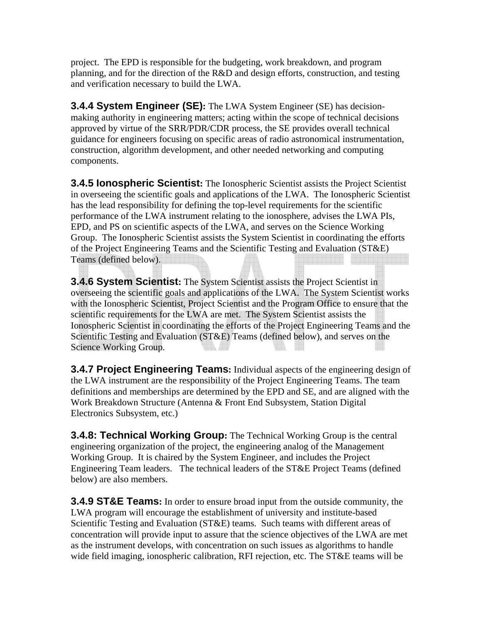<span id="page-6-0"></span>project. The EPD is responsible for the budgeting, work breakdown, and program planning, and for the direction of the R&D and design efforts, construction, and testing and verification necessary to build the LWA.

**3.4.4 System Engineer (SE):** The LWA System Engineer (SE) has decisionmaking authority in engineering matters; acting within the scope of technical decisions approved by virtue of the SRR/PDR/CDR process, the SE provides overall technical guidance for engineers focusing on specific areas of radio astronomical instrumentation, construction, algorithm development, and other needed networking and computing components.

**3.4.5 Ionospheric Scientist:** The Ionospheric Scientist assists the Project Scientist in overseeing the scientific goals and applications of the LWA. The Ionospheric Scientist has the lead responsibility for defining the top-level requirements for the scientific performance of the LWA instrument relating to the ionosphere, advises the LWA PIs, EPD, and PS on scientific aspects of the LWA, and serves on the Science Working Group. The Ionospheric Scientist assists the System Scientist in coordinating the efforts of the Project Engineering Teams and the Scientific Testing and Evaluation (ST&E) Teams (defined below).

**3.4.6 System Scientist:** The System Scientist assists the Project Scientist in overseeing the scientific goals and applications of the LWA. The System Scientist works with the Ionospheric Scientist, Project Scientist and the Program Office to ensure that the scientific requirements for the LWA are met. The System Scientist assists the Ionospheric Scientist in coordinating the efforts of the Project Engineering Teams and the Scientific Testing and Evaluation (ST&E) Teams (defined below), and serves on the Science Working Group.

**3.4.7 Project Engineering Teams:** Individual aspects of the engineering design of the LWA instrument are the responsibility of the Project Engineering Teams. The team definitions and memberships are determined by the EPD and SE, and are aligned with the Work Breakdown Structure (Antenna & Front End Subsystem, Station Digital Electronics Subsystem, etc.)

**3.4.8: Technical Working Group:** The Technical Working Group is the central engineering organization of the project, the engineering analog of the Management Working Group. It is chaired by the System Engineer, and includes the Project Engineering Team leaders. The technical leaders of the ST&E Project Teams (defined below) are also members.

**3.4.9 ST&E Teams:** In order to ensure broad input from the outside community, the LWA program will encourage the establishment of university and institute-based Scientific Testing and Evaluation (ST&E) teams. Such teams with different areas of concentration will provide input to assure that the science objectives of the LWA are met as the instrument develops, with concentration on such issues as algorithms to handle wide field imaging, ionospheric calibration, RFI rejection, etc. The ST&E teams will be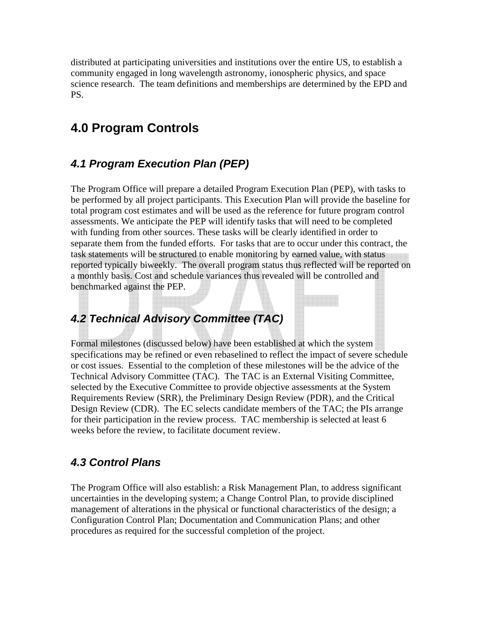<span id="page-7-0"></span>distributed at participating universities and institutions over the entire US, to establish a community engaged in long wavelength astronomy, ionospheric physics, and space science research.The team definitions and memberships are determined by the EPD and PS.

# **4.0 Program Controls**

#### *4.1 Program Execution Plan (PEP)*

The Program Office will prepare a detailed Program Execution Plan (PEP), with tasks to be performed by all project participants. This Execution Plan will provide the baseline for total program cost estimates and will be used as the reference for future program control assessments. We anticipate the PEP will identify tasks that will need to be completed with funding from other sources. These tasks will be clearly identified in order to separate them from the funded efforts. For tasks that are to occur under this contract, the task statements will be structured to enable monitoring by earned value, with status reported typically biweekly. The overall program status thus reflected will be reported on a monthly basis. Cost and schedule variances thus revealed will be controlled and benchmarked against the PEP.

### *4.2 Technical Advisory Committee (TAC)*

Formal milestones (discussed below) have been established at which the system specifications may be refined or even rebaselined to reflect the impact of severe schedule or cost issues. Essential to the completion of these milestones will be the advice of the Technical Advisory Committee (TAC). The TAC is an External Visiting Committee, selected by the Executive Committee to provide objective assessments at the System Requirements Review (SRR), the Preliminary Design Review (PDR), and the Critical Design Review (CDR). The EC selects candidate members of the TAC; the PIs arrange for their participation in the review process. TAC membership is selected at least 6 weeks before the review, to facilitate document review.

#### *4.3 Control Plans*

The Program Office will also establish: a Risk Management Plan, to address significant uncertainties in the developing system; a Change Control Plan, to provide disciplined management of alterations in the physical or functional characteristics of the design; a Configuration Control Plan; Documentation and Communication Plans; and other procedures as required for the successful completion of the project.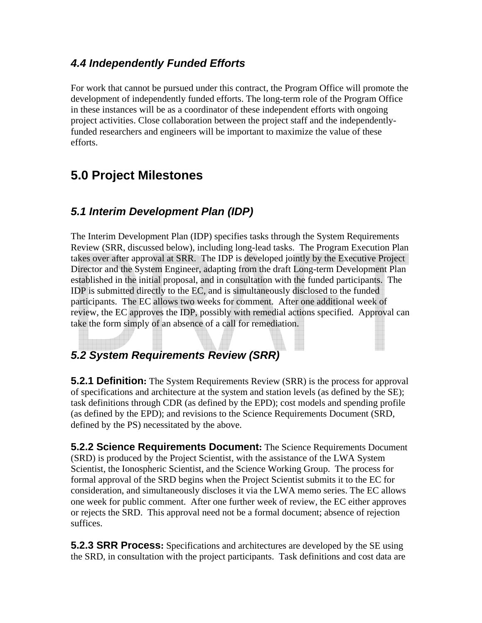#### <span id="page-8-0"></span>*4.4 Independently Funded Efforts*

For work that cannot be pursued under this contract, the Program Office will promote the development of independently funded efforts. The long-term role of the Program Office in these instances will be as a coordinator of these independent efforts with ongoing project activities. Close collaboration between the project staff and the independentlyfunded researchers and engineers will be important to maximize the value of these efforts.

## **5.0 Project Milestones**

### *5.1 Interim Development Plan (IDP)*

The Interim Development Plan (IDP) specifies tasks through the System Requirements Review (SRR, discussed below), including long-lead tasks. The Program Execution Plan takes over after approval at SRR. The IDP is developed jointly by the Executive Project Director and the System Engineer, adapting from the draft Long-term Development Plan established in the initial proposal, and in consultation with the funded participants. The IDP is submitted directly to the EC, and is simultaneously disclosed to the funded participants. The EC allows two weeks for comment. After one additional week of review, the EC approves the IDP, possibly with remedial actions specified. Approval can take the form simply of an absence of a call for remediation.

### *5.2 System Requirements Review (SRR)*

**5.2.1 Definition:** The System Requirements Review (SRR) is the process for approval of specifications and architecture at the system and station levels (as defined by the SE); task definitions through CDR (as defined by the EPD); cost models and spending profile (as defined by the EPD); and revisions to the Science Requirements Document (SRD, defined by the PS) necessitated by the above.

**5.2.2 Science Requirements Document:** The Science Requirements Document (SRD) is produced by the Project Scientist, with the assistance of the LWA System Scientist, the Ionospheric Scientist, and the Science Working Group. The process for formal approval of the SRD begins when the Project Scientist submits it to the EC for consideration, and simultaneously discloses it via the LWA memo series. The EC allows one week for public comment. After one further week of review, the EC either approves or rejects the SRD. This approval need not be a formal document; absence of rejection suffices.

**5.2.3 SRR Process:** Specifications and architectures are developed by the SE using the SRD, in consultation with the project participants. Task definitions and cost data are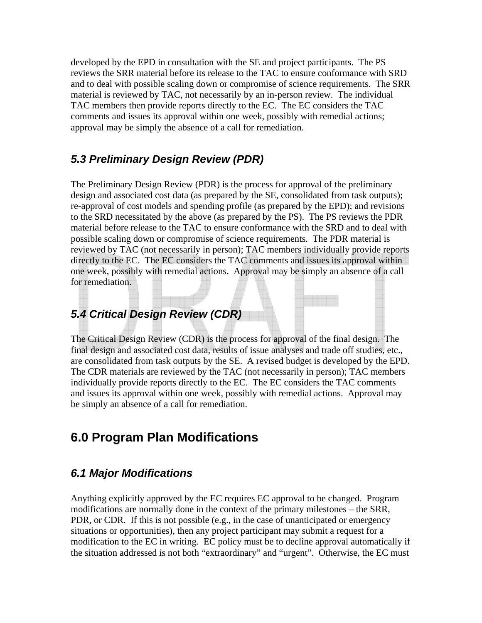<span id="page-9-0"></span>developed by the EPD in consultation with the SE and project participants. The PS reviews the SRR material before its release to the TAC to ensure conformance with SRD and to deal with possible scaling down or compromise of science requirements. The SRR material is reviewed by TAC, not necessarily by an in-person review. The individual TAC members then provide reports directly to the EC. The EC considers the TAC comments and issues its approval within one week, possibly with remedial actions; approval may be simply the absence of a call for remediation.

#### *5.3 Preliminary Design Review (PDR)*

The Preliminary Design Review (PDR) is the process for approval of the preliminary design and associated cost data (as prepared by the SE, consolidated from task outputs); re-approval of cost models and spending profile (as prepared by the EPD); and revisions to the SRD necessitated by the above (as prepared by the PS). The PS reviews the PDR material before release to the TAC to ensure conformance with the SRD and to deal with possible scaling down or compromise of science requirements. The PDR material is reviewed by TAC (not necessarily in person); TAC members individually provide reports directly to the EC. The EC considers the TAC comments and issues its approval within one week, possibly with remedial actions. Approval may be simply an absence of a call for remediation.

### *5.4 Critical Design Review (CDR)*

The Critical Design Review (CDR) is the process for approval of the final design. The final design and associated cost data, results of issue analyses and trade off studies, etc., are consolidated from task outputs by the SE. A revised budget is developed by the EPD. The CDR materials are reviewed by the TAC (not necessarily in person); TAC members individually provide reports directly to the EC. The EC considers the TAC comments and issues its approval within one week, possibly with remedial actions. Approval may be simply an absence of a call for remediation.

### **6.0 Program Plan Modifications**

#### *6.1 Major Modifications*

Anything explicitly approved by the EC requires EC approval to be changed. Program modifications are normally done in the context of the primary milestones – the SRR, PDR, or CDR. If this is not possible (e.g., in the case of unanticipated or emergency situations or opportunities), then any project participant may submit a request for a modification to the EC in writing. EC policy must be to decline approval automatically if the situation addressed is not both "extraordinary" and "urgent". Otherwise, the EC must